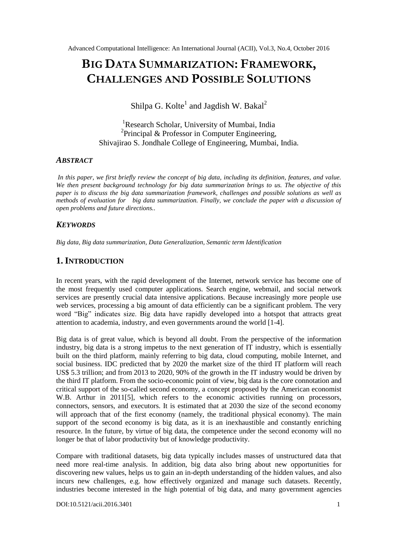# **BIG DATA SUMMARIZATION: FRAMEWORK, CHALLENGES AND POSSIBLE SOLUTIONS**

Shilpa G. Kolte $^1$  and Jagdish W. Bakal $^2$ 

<sup>1</sup>Research Scholar, University of Mumbai, India <sup>2</sup>Principal & Professor in Computer Engineering, Shivajirao S. Jondhale College of Engineering, Mumbai, India.

## *ABSTRACT*

In this paper, we first briefly review the concept of big data, including its definition, features, and value. *We then present background technology for big data summarization brings to us. The objective of this paper is to discuss the big data summarization framework, challenges and possible solutions as well as methods of evaluation for big data summarization. Finally, we conclude the paper with a discussion of open problems and future directions..*

# *KEYWORDS*

*Big data, Big data summarization, Data Generalization, Semantic term Identification*

# **1.INTRODUCTION**

In recent years, with the rapid development of the Internet, network service has become one of the most frequently used computer applications. Search engine, webmail, and social network services are presently crucial data intensive applications. Because increasingly more people use web services, processing a big amount of data efficiently can be a significant problem. The very word "Big" indicates size. Big data have rapidly developed into a hotspot that attracts great attention to academia, industry, and even governments around the world [1-4].

Big data is of great value, which is beyond all doubt. From the perspective of the information industry, big data is a strong impetus to the next generation of IT industry, which is essentially built on the third platform, mainly referring to big data, cloud computing, mobile Internet, and social business. IDC predicted that by 2020 the market size of the third IT platform will reach US\$ 5.3 trillion; and from 2013 to 2020, 90% of the growth in the IT industry would be driven by the third IT platform. From the socio-economic point of view, big data is the core connotation and critical support of the so-called second economy, a concept proposed by the American economist W.B. Arthur in 2011[5], which refers to the economic activities running on processors, connectors, sensors, and executors. It is estimated that at 2030 the size of the second economy will approach that of the first economy (namely, the traditional physical economy). The main support of the second economy is big data, as it is an inexhaustible and constantly enriching resource. In the future, by virtue of big data, the competence under the second economy will no longer be that of labor productivity but of knowledge productivity.

Compare with traditional datasets, big data typically includes masses of unstructured data that need more real-time analysis. In addition, big data also bring about new opportunities for discovering new values, helps us to gain an in-depth understanding of the hidden values, and also incurs new challenges, e.g. how effectively organized and manage such datasets. Recently, industries become interested in the high potential of big data, and many government agencies

DOI:10.5121/acii.2016.3401 1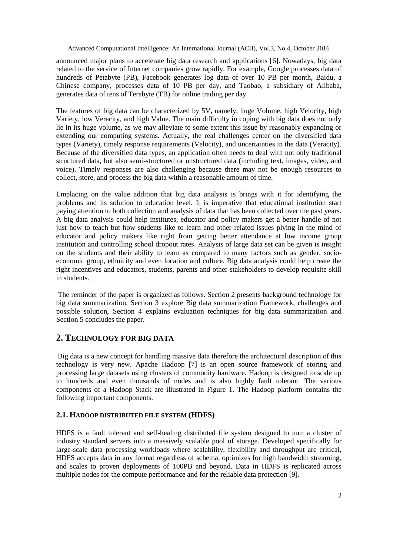announced major plans to accelerate big data research and applications [6]. Nowadays, big data related to the service of Internet companies grow rapidly. For example, Google processes data of hundreds of Petabyte (PB), Facebook generates log data of over 10 PB per month, Baidu, a Chinese company, processes data of 10 PB per day, and Taobao, a subsidiary of Alibaba, generates data of tens of Terabyte (TB) for online trading per day.

The features of big data can be characterized by 5V, namely, huge Volume, high Velocity, high Variety, low Veracity, and high Value. The main difficulty in coping with big data does not only lie in its huge volume, as we may alleviate to some extent this issue by reasonably expanding or extending our computing systems. Actually, the real challenges center on the diversified data types (Variety), timely response requirements (Velocity), and uncertainties in the data (Veracity). Because of the diversified data types, an application often needs to deal with not only traditional structured data, but also semi-structured or unstructured data (including text, images, video, and voice). Timely responses are also challenging because there may not be enough resources to collect, store, and process the big data within a reasonable amount of time.

Emplacing on the value addition that big data analysis is brings with it for identifying the problems and its solution to education level. It is imperative that educational institution start paying attention to both collection and analysis of data that has been collected over the past years. A big data analysis could help institutes, educator and policy makers get a better handle of not just how to teach but how students like to learn and other related issues plying in the mind of educator and policy makers like right from getting better attendance at low income group institution and controlling school dropout rates. Analysis of large data set can be given is insight on the students and their ability to learn as compared to many factors such as gender, socioeconomic group, ethnicity and even location and culture. Big data analysis could help create the right incentives and educators, students, parents and other stakeholders to develop requisite skill in students.

The reminder of the paper is organized as follows. Section 2 presents background technology for big data summarization, Section 3 explore Big data summarization Framework, challenges and possible solution, Section 4 explains evaluation techniques for big data summarization and Section 5 concludes the paper.

## **2. TECHNOLOGY FOR BIG DATA**

Big data is a new concept for handling massive data therefore the architectural description of this technology is very new. Apache Hadoop [7] is an open source framework of storing and processing large datasets using clusters of commodity hardware. Hadoop is designed to scale up to hundreds and even thousands of nodes and is also highly fault tolerant. The various components of a Hadoop Stack are illustrated in Figure 1. The Hadoop platform contains the following important components.

### **2.1. HADOOP DISTRIBUTED FILE SYSTEM (HDFS)**

HDFS is a fault tolerant and self-healing distributed file system designed to turn a cluster of industry standard servers into a massively scalable pool of storage. Developed specifically for large-scale data processing workloads where scalability, flexibility and throughput are critical, HDFS accepts data in any format regardless of schema, optimizes for high bandwidth streaming, and scales to proven deployments of 100PB and beyond. Data in HDFS is replicated across multiple nodes for the compute performance and for the reliable data protection [9].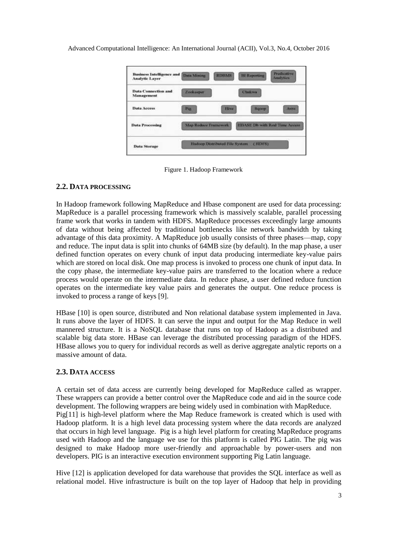

Figure 1. Hadoop Framework

## **2.2. DATA PROCESSING**

In Hadoop framework following MapReduce and Hbase component are used for data processing: MapReduce is a parallel processing framework which is massively scalable, parallel processing frame work that works in tandem with HDFS. MapReduce processes exceedingly large amounts of data without being affected by traditional bottlenecks like network bandwidth by taking advantage of this data proximity. A MapReduce job usually consists of three phases—map, copy and reduce. The input data is split into chunks of 64MB size (by default). In the map phase, a user defined function operates on every chunk of input data producing intermediate key-value pairs which are stored on local disk. One map process is invoked to process one chunk of input data. In the copy phase, the intermediate key-value pairs are transferred to the location where a reduce process would operate on the intermediate data. In reduce phase, a user defined reduce function operates on the intermediate key value pairs and generates the output. One reduce process is invoked to process a range of keys [9].

HBase [10] is open source, distributed and Non relational database system implemented in Java. It runs above the layer of HDFS. It can serve the input and output for the Map Reduce in well mannered structure. It is a NoSQL database that runs on top of Hadoop as a distributed and scalable big data store. HBase can leverage the distributed processing paradigm of the HDFS. HBase allows you to query for individual records as well as derive aggregate analytic reports on a massive amount of data.

### **2.3. DATA ACCESS**

A certain set of data access are currently being developed for MapReduce called as wrapper. These wrappers can provide a better control over the MapReduce code and aid in the source code development. The following wrappers are being widely used in combination with MapReduce. Pig[11] is high-level platform where the Map Reduce framework is created which is used with Hadoop platform. It is a high level data processing system where the data records are analyzed that occurs in high level language. Pig is a high level platform for creating MapReduce programs used with Hadoop and the language we use for this platform is called PIG Latin. The pig was designed to make Hadoop more user-friendly and approachable by power-users and non developers. PIG is an interactive execution environment supporting Pig Latin language.

Hive [12] is application developed for data warehouse that provides the SQL interface as well as relational model. Hive infrastructure is built on the top layer of Hadoop that help in providing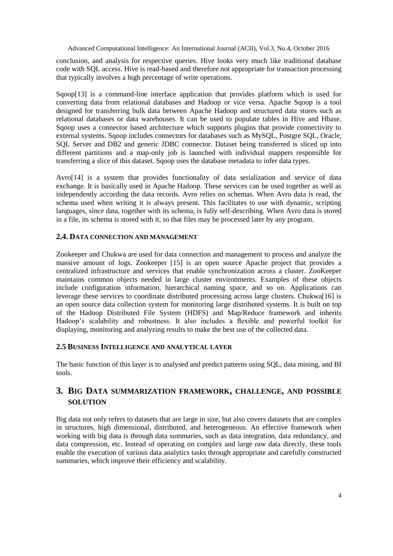conclusion, and analysis for respective queries. Hive looks very much like traditional database code with SQL access. Hive is read-based and therefore not appropriate for transaction processing that typically involves a high percentage of write operations.

Sqoop[13] is a command-line interface application that provides platform which is used for converting data from relational databases and Hadoop or vice versa. Apache Sqoop is a tool designed for transferring bulk data between Apache Hadoop and structured data stores such as relational databases or data warehouses. It can be used to populate tables in Hive and Hbase. Sqoop uses a connector based architecture which supports plugins that provide connectivity to external systems. Sqoop includes connectors for databases such as MySQL, Postgre SQL, Oracle, SOL Server and DB2 and generic JDBC connector. Dataset being transferred is sliced up into different partitions and a map-only job is launched with individual mappers responsible for transferring a slice of this dataset. Sqoop uses the database metadata to infer data types.

Avro[14] is a system that provides functionality of data serialization and service of data exchange. It is basically used in Apache Hadoop. These services can be used together as well as independently according the data records. Avro relies on schemas. When Avro data is read, the schema used when writing it is always present. This facilitates to use with dynamic, scripting languages, since data, together with its schema, is fully self-describing. When Avro data is stored in a file, its schema is stored with it, so that files may be processed later by any program.

## **2.4. DATA CONNECTION AND MANAGEMENT**

Zookeeper and Chukwa are used for data connection and management to process and analyze the massive amount of logs. Zookeeper [15] is an open source Apache project that provides a centralized infrastructure and services that enable synchronization across a cluster. ZooKeeper maintains common objects needed in large cluster environments. Examples of these objects include configuration information, hierarchical naming space, and so on. Applications can leverage these services to coordinate distributed processing across large clusters. Chukwa[16] is an open source data collection system for monitoring large distributed systems. It is built on top of the Hadoop Distributed File System (HDFS) and Map/Reduce framework and inherits Hadoop's scalability and robustness. It also includes a flexible and powerful toolkit for displaying, monitoring and analyzing results to make the best use of the collected data.

### **2.5 BUSINESS INTELLIGENCE AND ANALYTICAL LAYER**

The basic function of this layer is to analysed and predict patterns using SQL, data mining, and BI tools.

# **3. BIG DATA SUMMARIZATION FRAMEWORK, CHALLENGE, AND POSSIBLE SOLUTION**

Big data not only refers to datasets that are large in size, but also covers datasets that are complex in structures, high dimensional, distributed, and heterogeneous. An effective framework when working with big data is through data summaries, such as data integration, data redundancy, and data compression, etc. Instead of operating on complex and large raw data directly, these tools enable the execution of various data analytics tasks through appropriate and carefully constructed summaries, which improve their efficiency and scalability.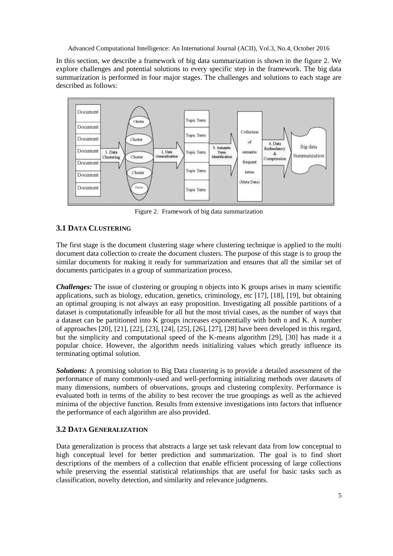In this section, we describe a framework of big data summarization is shown in the figure 2. We explore challenges and potential solutions to every specific step in the framework. The big data summarization is performed in four major stages. The challenges and solutions to each stage are described as follows:



Figure 2. Framework of big data summarization

# **3.1 DATA CLUSTERING**

The first stage is the document clustering stage where clustering technique is applied to the multi document data collection to create the document clusters. The purpose of this stage is to group the similar documents for making it ready for summarization and ensures that all the similar set of documents participates in a group of summarization process.

*Challenges:* The issue of clustering or grouping n objects into K groups arises in many scientific applications, such as biology, education, genetics, criminology, etc [17], [18], [19], but obtaining an optimal grouping is not always an easy proposition. Investigating all possible partitions of a dataset is computationally infeasible for all but the most trivial cases, as the number of ways that a dataset can be partitioned into K groups increases exponentially with both n and K. A number of approaches [20], [21], [22], [23], [24], [25], [26], [27], [28] have been developed in this regard, but the simplicity and computational speed of the K-means algorithm [29], [30] has made it a popular choice. However, the algorithm needs initializing values which greatly influence its terminating optimal solution.

*Solutions:* A promising solution to Big Data clustering is to provide a detailed assessment of the performance of many commonly-used and well-performing initializing methods over datasets of many dimensions, numbers of observations, groups and clustering complexity. Performance is evaluated both in terms of the ability to best recover the true groupings as well as the achieved minima of the objective function. Results from extensive investigations into factors that influence the performance of each algorithm are also provided.

# **3.2 DATA GENERALIZATION**

Data generalization is process that abstracts a large set task relevant data from low conceptual to high conceptual level for better prediction and summarization. The goal is to find short descriptions of the members of a collection that enable efficient processing of large collections while preserving the essential statistical relationships that are useful for basic tasks such as classification, novelty detection, and similarity and relevance judgments.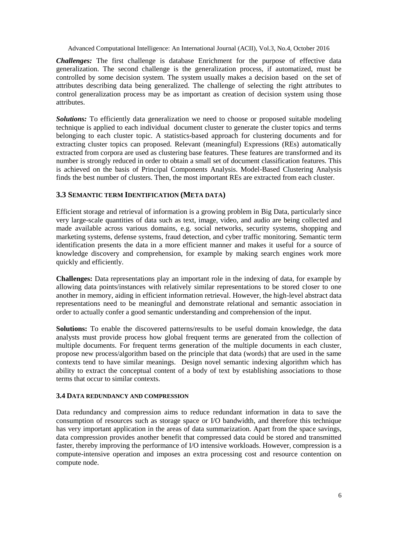*Challenges:* The first challenge is database Enrichment for the purpose of effective data generalization. The second challenge is the generalization process, if automatized, must be controlled by some decision system. The system usually makes a decision based on the set of attributes describing data being generalized. The challenge of selecting the right attributes to control generalization process may be as important as creation of decision system using those attributes.

**Solutions:** To efficiently data generalization we need to choose or proposed suitable modeling technique is applied to each individual document cluster to generate the cluster topics and terms belonging to each cluster topic. A statistics-based approach for clustering documents and for extracting cluster topics can proposed. Relevant (meaningful) Expressions (REs) automatically extracted from corpora are used as clustering base features. These features are transformed and its number is strongly reduced in order to obtain a small set of document classification features. This is achieved on the basis of Principal Components Analysis. Model-Based Clustering Analysis finds the best number of clusters. Then, the most important REs are extracted from each cluster.

# **3.3 SEMANTIC TERM IDENTIFICATION (META DATA)**

Efficient storage and retrieval of information is a growing problem in Big Data, particularly since very large-scale quantities of data such as text, image, video, and audio are being collected and made available across various domains, e.g. social networks, security systems, shopping and marketing systems, defense systems, fraud detection, and cyber traffic monitoring. Semantic term identification presents the data in a more efficient manner and makes it useful for a source of knowledge discovery and comprehension, for example by making search engines work more quickly and efficiently.

**Challenges:** Data representations play an important role in the indexing of data, for example by allowing data points/instances with relatively similar representations to be stored closer to one another in memory, aiding in efficient information retrieval. However, the high-level abstract data representations need to be meaningful and demonstrate relational and semantic association in order to actually confer a good semantic understanding and comprehension of the input.

**Solutions:** To enable the discovered patterns/results to be useful domain knowledge, the data analysts must provide process how global frequent terms are generated from the collection of multiple documents. For frequent terms generation of the multiple documents in each cluster, propose new process/algorithm based on the principle that data (words) that are used in the same contexts tend to have similar meanings. Design novel semantic indexing algorithm which has ability to extract the conceptual content of a body of text by establishing associations to those terms that occur to similar contexts.

### **3.4 DATA REDUNDANCY AND COMPRESSION**

Data redundancy and compression aims to reduce redundant information in data to save the consumption of resources such as storage space or I/O bandwidth, and therefore this technique has very important application in the areas of data summarization. Apart from the space savings, data compression provides another benefit that compressed data could be stored and transmitted faster, thereby improving the performance of I/O intensive workloads. However, compression is a compute-intensive operation and imposes an extra processing cost and resource contention on compute node.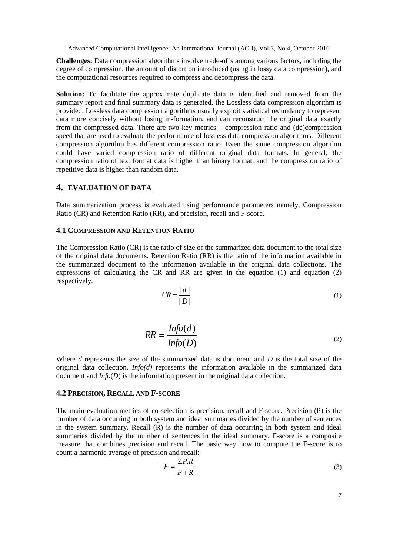**Challenges:** Data compression algorithms involve trade-offs among various factors, including the degree of compression, the amount of distortion introduced (using in lossy data compression), and the computational resources required to compress and decompress the data.

**Solution:** To facilitate the approximate duplicate data is identified and removed from the summary report and final summary data is generated, the Lossless data compression algorithm is provided. Lossless data compression algorithms usually exploit statistical redundancy to represent data more concisely without losing in-formation, and can reconstruct the original data exactly from the compressed data. There are two key metrics – compression ratio and (de)compression speed that are used to evaluate the performance of lossless data compression algorithms. Different compression algorithm has different compression ratio. Even the same compression algorithm could have varied compression ratio of different original data formats. In general, the compression ratio of text format data is higher than binary format, and the compression ratio of repetitive data is higher than random data.

# **4. EVALUATION OF DATA**

Data summarization process is evaluated using performance parameters namely, Compression Ratio (CR) and Retention Ratio (RR), and precision, recall and F-score.

## **4.1 COMPRESSION AND RETENTION RATIO**

The Compression Ratio (CR) is the ratio of size of the summarized data document to the total size of the original data documents. Retention Ratio (RR) is the ratio of the information available in the summarized document to the information available in the original data collections. The expressions of calculating the CR and RR are given in the equation (1) and equation (2) respectively.

$$
CR = \frac{|d|}{|D|} \tag{1}
$$

$$
RR = \frac{Info(d)}{Info(D)}
$$
 (2)

Where *d* represents the size of the summarized data is document and *D* is the total size of the original data collection. *Info(d)* represents the information available in the summarized data document and *Info*(*D*) is the information present in the original data collection.

#### **4.2 PRECISION, RECALL AND F-SCORE**

The main evaluation metrics of co-selection is precision, recall and F-score. Precision (P) is the number of data occurring in both system and ideal summaries divided by the number of sentences in the system summary. Recall (R) is the number of data occurring in both system and ideal summaries divided by the number of sentences in the ideal summary. F-score is a composite measure that combines precision and recall. The basic way how to compute the F-score is to count a harmonic average of precision and recall:

$$
F = \frac{2.P.R}{P+R}
$$
 (3)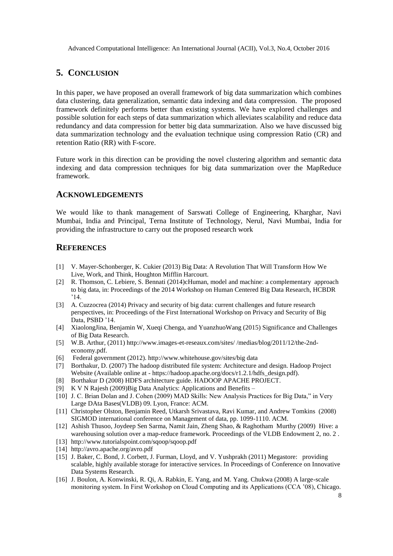# **5. CONCLUSION**

In this paper, we have proposed an overall framework of big data summarization which combines data clustering, data generalization, semantic data indexing and data compression. The proposed framework definitely performs better than existing systems. We have explored challenges and possible solution for each steps of data summarization which alleviates scalability and reduce data redundancy and data compression for better big data summarization. Also we have discussed big data summarization technology and the evaluation technique using compression Ratio (CR) and retention Ratio (RR) with F-score.

Future work in this direction can be providing the novel clustering algorithm and semantic data indexing and data compression techniques for big data summarization over the MapReduce framework.

# **ACKNOWLEDGEMENTS**

We would like to thank management of Sarswati College of Engineering, Kharghar, Navi Mumbai, India and Principal, Terna Institute of Technology, Nerul, Navi Mumbai, India for providing the infrastructure to carry out the proposed research work

# **REFERENCES**

- [1] V. Mayer-Schonberger, K. Cukier (2013) Big Data: A Revolution That Will Transform How We Live, Work, and Think, Houghton Mifflin Harcourt.
- [2] R. Thomson, C. Lebiere, S. Bennati (2014)cHuman, model and machine: a complementary approach to big data, in: Proceedings of the 2014 Workshop on Human Centered Big Data Research, HCBDR  $^{\circ}14$
- [3] A. Cuzzocrea (2014) Privacy and security of big data: current challenges and future research perspectives, in: Proceedings of the First International Workshop on Privacy and Security of Big Data, PSBD '14.
- [4] XiaolongJina, Benjamin W, Xueqi Chenga, and YuanzhuoWang (2015) Significance and Challenges of Big Data Research.
- [5] W.B. Arthur, (2011) http://www.images-et-reseaux.com/sites/ /medias/blog/2011/12/the-2ndeconomy.pdf.
- [6] Federal government (2012). http://www.whitehouse.gov/sites/big data
- [7] Borthakur, D. (2007) The hadoop distributed file system: Architecture and design. Hadoop Project Website (Available online at - https://hadoop.apache.org/docs/r1.2.1/hdfs\_design.pdf).
- [8] Borthakur D (2008) HDFS architecture guide. HADOOP APACHE PROJECT.
- [9] K V N Rajesh (2009)Big Data Analytics: Applications and Benefits –
- [10] J. C. Brian Dolan and J. Cohen (2009) MAD Skills: New Analysis Practices for Big Data," in Very Large DAta Bases(VLDB) 09. Lyon, France: ACM.
- [11] Christopher Olston, Benjamin Reed, Utkarsh Srivastava, Ravi Kumar, and Andrew Tomkins (2008) SIGMOD international conference on Management of data, pp. 1099-1110. ACM.
- [12] Ashish Thusoo, Joydeep Sen Sarma, Namit Jain, Zheng Shao, & Raghotham Murthy (2009) Hive: a warehousing solution over a map-reduce framework. Proceedings of the VLDB Endowment 2, no. 2 .
- [13] http://www.tutorialspoint.com/sqoop/sqoop.pdf
- [14] http://avro.apache.org/avro.pdf
- [15] J. Baker, C. Bond, J. Corbett, J. Furman, Lloyd, and V. Yushprakh (2011) Megastore: providing scalable, highly available storage for interactive services. In Proceedings of Conference on Innovative Data Systems Research.
- [16] J. Boulon, A. Konwinski, R. Qi, A. Rabkin, E. Yang, and M. Yang. Chukwa (2008) A large-scale monitoring system. In First Workshop on Cloud Computing and its Applications (CCA '08), Chicago.